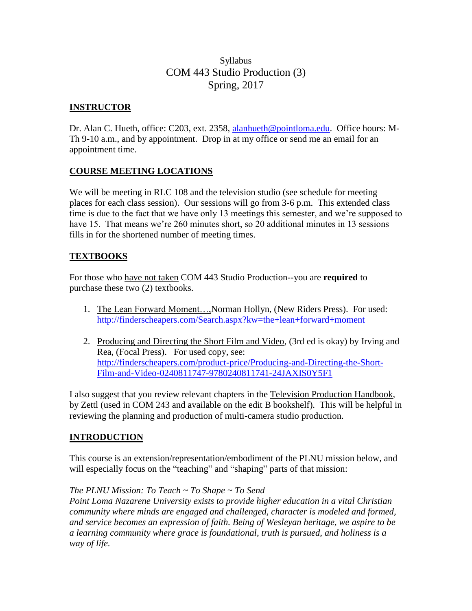# Syllabus COM 443 Studio Production (3) Spring, 2017

# **INSTRUCTOR**

Dr. Alan C. Hueth, office: C203, ext. 2358, [alanhueth@pointloma.edu.](mailto:alanhueth@pointloma.edu) Office hours: M-Th 9-10 a.m., and by appointment. Drop in at my office or send me an email for an appointment time.

# **COURSE MEETING LOCATIONS**

We will be meeting in RLC 108 and the television studio (see schedule for meeting places for each class session). Our sessions will go from 3-6 p.m. This extended class time is due to the fact that we have only 13 meetings this semester, and we're supposed to have 15. That means we're 260 minutes short, so 20 additional minutes in 13 sessions fills in for the shortened number of meeting times.

# **TEXTBOOKS**

For those who have not taken COM 443 Studio Production--you are **required** to purchase these two (2) textbooks.

- 1. The Lean Forward Moment…,Norman Hollyn, (New Riders Press). For used: <http://finderscheapers.com/Search.aspx?kw=the+lean+forward+moment>
- 2. Producing and Directing the Short Film and Video, (3rd ed is okay) by Irving and Rea, (Focal Press). For used copy, see: [http://finderscheapers.com/product-price/Producing-and-Directing-the-Short-](http://finderscheapers.com/product-price/Producing-and-Directing-the-Short-Film-and-Video-0240811747-9780240811741-24JAXIS0Y5F1)[Film-and-Video-0240811747-9780240811741-24JAXIS0Y5F1](http://finderscheapers.com/product-price/Producing-and-Directing-the-Short-Film-and-Video-0240811747-9780240811741-24JAXIS0Y5F1)

I also suggest that you review relevant chapters in the Television Production Handbook, by Zettl (used in COM 243 and available on the edit B bookshelf). This will be helpful in reviewing the planning and production of multi-camera studio production.

# **INTRODUCTION**

This course is an extension/representation/embodiment of the PLNU mission below, and will especially focus on the "teaching" and "shaping" parts of that mission:

# *The PLNU Mission: To Teach ~ To Shape ~ To Send*

*Point Loma Nazarene University exists to provide higher education in a vital Christian community where minds are engaged and challenged, character is modeled and formed, and service becomes an expression of faith. Being of Wesleyan heritage, we aspire to be a learning community where grace is foundational, truth is pursued, and holiness is a way of life.*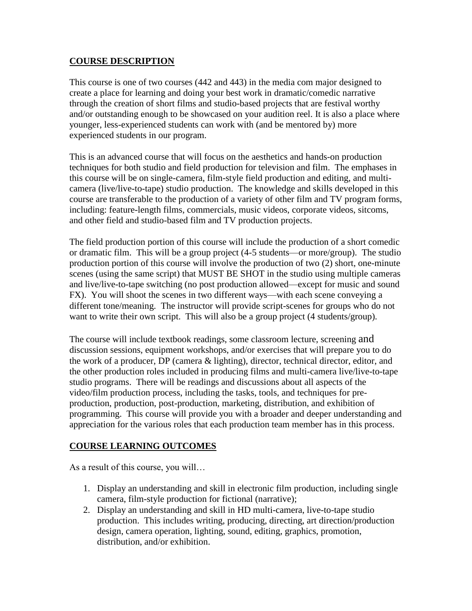# **COURSE DESCRIPTION**

This course is one of two courses (442 and 443) in the media com major designed to create a place for learning and doing your best work in dramatic/comedic narrative through the creation of short films and studio-based projects that are festival worthy and/or outstanding enough to be showcased on your audition reel. It is also a place where younger, less-experienced students can work with (and be mentored by) more experienced students in our program.

This is an advanced course that will focus on the aesthetics and hands-on production techniques for both studio and field production for television and film. The emphases in this course will be on single-camera, film-style field production and editing, and multicamera (live/live-to-tape) studio production. The knowledge and skills developed in this course are transferable to the production of a variety of other film and TV program forms, including: feature-length films, commercials, music videos, corporate videos, sitcoms, and other field and studio-based film and TV production projects.

The field production portion of this course will include the production of a short comedic or dramatic film. This will be a group project (4-5 students—or more/group). The studio production portion of this course will involve the production of two (2) short, one-minute scenes (using the same script) that MUST BE SHOT in the studio using multiple cameras and live/live-to-tape switching (no post production allowed—except for music and sound FX). You will shoot the scenes in two different ways—with each scene conveying a different tone/meaning. The instructor will provide script-scenes for groups who do not want to write their own script. This will also be a group project (4 students/group).

The course will include textbook readings, some classroom lecture, screening and discussion sessions, equipment workshops, and/or exercises that will prepare you to do the work of a producer, DP (camera & lighting), director, technical director, editor, and the other production roles included in producing films and multi-camera live/live-to-tape studio programs. There will be readings and discussions about all aspects of the video/film production process, including the tasks, tools, and techniques for preproduction, production, post-production, marketing, distribution, and exhibition of programming. This course will provide you with a broader and deeper understanding and appreciation for the various roles that each production team member has in this process.

# **COURSE LEARNING OUTCOMES**

As a result of this course, you will…

- 1. Display an understanding and skill in electronic film production, including single camera, film-style production for fictional (narrative);
- 2. Display an understanding and skill in HD multi-camera, live-to-tape studio production. This includes writing, producing, directing, art direction/production design, camera operation, lighting, sound, editing, graphics, promotion, distribution, and/or exhibition.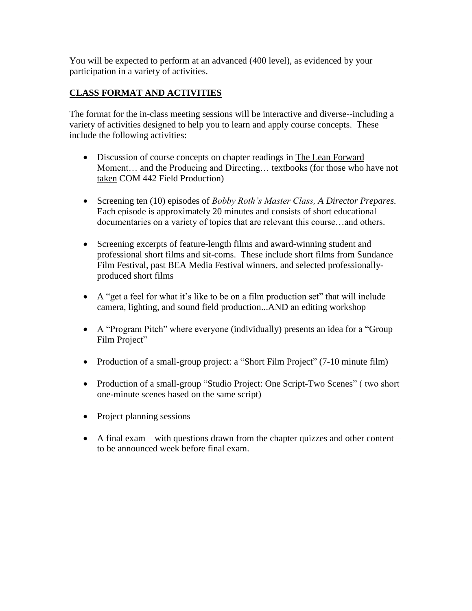You will be expected to perform at an advanced (400 level), as evidenced by your participation in a variety of activities.

# **CLASS FORMAT AND ACTIVITIES**

The format for the in-class meeting sessions will be interactive and diverse--including a variety of activities designed to help you to learn and apply course concepts. These include the following activities:

- Discussion of course concepts on chapter readings in The Lean Forward Moment… and the Producing and Directing… textbooks (for those who have not taken COM 442 Field Production)
- Screening ten (10) episodes of *Bobby Roth's Master Class, A Director Prepares.*  Each episode is approximately 20 minutes and consists of short educational documentaries on a variety of topics that are relevant this course…and others.
- Screening excerpts of feature-length films and award-winning student and professional short films and sit-coms. These include short films from Sundance Film Festival, past BEA Media Festival winners, and selected professionallyproduced short films
- A "get a feel for what it's like to be on a film production set" that will include camera, lighting, and sound field production...AND an editing workshop
- A "Program Pitch" where everyone (individually) presents an idea for a "Group Film Project"
- Production of a small-group project: a "Short Film Project" (7-10 minute film)
- Production of a small-group "Studio Project: One Script-Two Scenes" (two short one-minute scenes based on the same script)
- Project planning sessions
- A final exam with questions drawn from the chapter quizzes and other content to be announced week before final exam.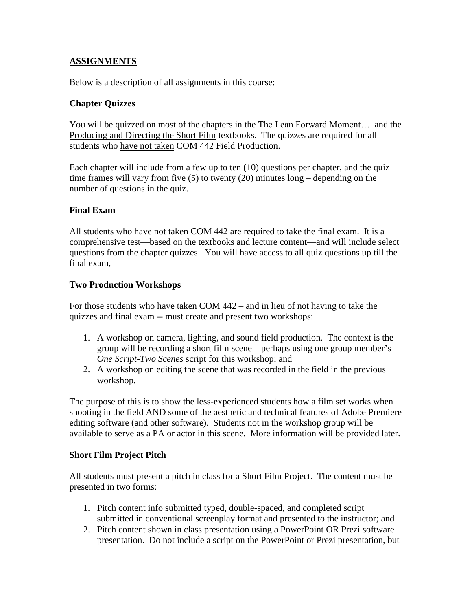# **ASSIGNMENTS**

Below is a description of all assignments in this course:

### **Chapter Quizzes**

You will be quizzed on most of the chapters in the The Lean Forward Moment… and the Producing and Directing the Short Film textbooks. The quizzes are required for all students who have not taken COM 442 Field Production.

Each chapter will include from a few up to ten (10) questions per chapter, and the quiz time frames will vary from five (5) to twenty (20) minutes long – depending on the number of questions in the quiz.

# **Final Exam**

All students who have not taken COM 442 are required to take the final exam. It is a comprehensive test—based on the textbooks and lecture content—and will include select questions from the chapter quizzes. You will have access to all quiz questions up till the final exam,

### **Two Production Workshops**

For those students who have taken COM 442 – and in lieu of not having to take the quizzes and final exam -- must create and present two workshops:

- 1. A workshop on camera, lighting, and sound field production. The context is the group will be recording a short film scene – perhaps using one group member's *One Script-Two Scenes* script for this workshop; and
- 2. A workshop on editing the scene that was recorded in the field in the previous workshop.

The purpose of this is to show the less-experienced students how a film set works when shooting in the field AND some of the aesthetic and technical features of Adobe Premiere editing software (and other software). Students not in the workshop group will be available to serve as a PA or actor in this scene. More information will be provided later.

#### **Short Film Project Pitch**

All students must present a pitch in class for a Short Film Project. The content must be presented in two forms:

- 1. Pitch content info submitted typed, double-spaced, and completed script submitted in conventional screenplay format and presented to the instructor; and
- 2. Pitch content shown in class presentation using a PowerPoint OR Prezi software presentation. Do not include a script on the PowerPoint or Prezi presentation, but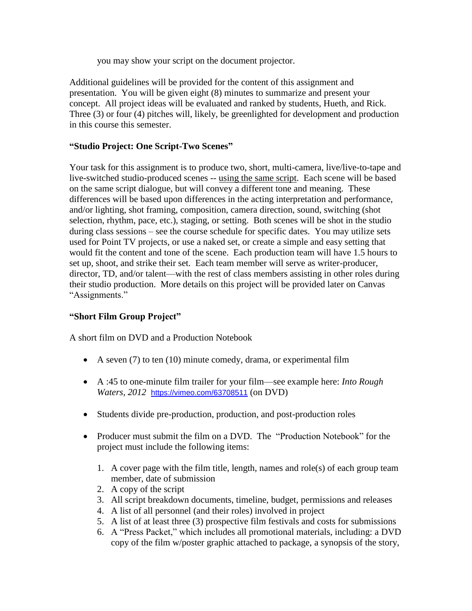you may show your script on the document projector.

Additional guidelines will be provided for the content of this assignment and presentation. You will be given eight (8) minutes to summarize and present your concept. All project ideas will be evaluated and ranked by students, Hueth, and Rick. Three (3) or four (4) pitches will, likely, be greenlighted for development and production in this course this semester.

# **"Studio Project: One Script-Two Scenes"**

Your task for this assignment is to produce two, short, multi-camera, live/live-to-tape and live-switched studio-produced scenes -- using the same script. Each scene will be based on the same script dialogue, but will convey a different tone and meaning. These differences will be based upon differences in the acting interpretation and performance, and/or lighting, shot framing, composition, camera direction, sound, switching (shot selection, rhythm, pace, etc.), staging, or setting. Both scenes will be shot in the studio during class sessions – see the course schedule for specific dates. You may utilize sets used for Point TV projects, or use a naked set, or create a simple and easy setting that would fit the content and tone of the scene. Each production team will have 1.5 hours to set up, shoot, and strike their set. Each team member will serve as writer-producer, director, TD, and/or talent—with the rest of class members assisting in other roles during their studio production. More details on this project will be provided later on Canvas "Assignments."

# **"Short Film Group Project"**

A short film on DVD and a Production Notebook

- A seven  $(7)$  to ten  $(10)$  minute comedy, drama, or experimental film
- A :45 to one-minute film trailer for your film—see example here: *Into Rough Waters, 2012* <https://vimeo.com/63708511> (on DVD)
- Students divide pre-production, production, and post-production roles
- Producer must submit the film on a DVD. The "Production Notebook" for the project must include the following items:
	- 1. A cover page with the film title, length, names and role(s) of each group team member, date of submission
	- 2. A copy of the script
	- 3. All script breakdown documents, timeline, budget, permissions and releases
	- 4. A list of all personnel (and their roles) involved in project
	- 5. A list of at least three (3) prospective film festivals and costs for submissions
	- 6. A "Press Packet," which includes all promotional materials, including: a DVD copy of the film w/poster graphic attached to package, a synopsis of the story,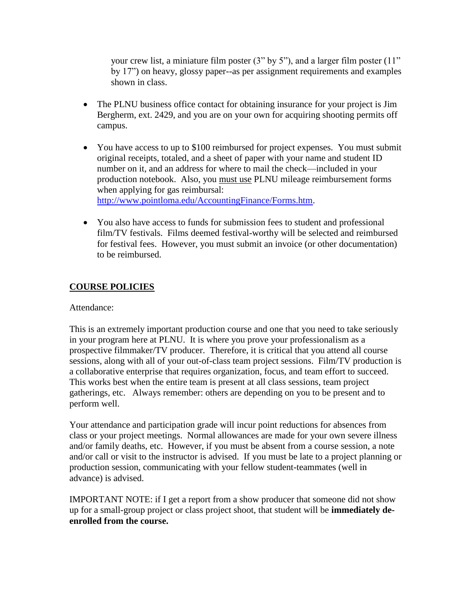your crew list, a miniature film poster (3" by 5"), and a larger film poster (11" by 17") on heavy, glossy paper--as per assignment requirements and examples shown in class.

- The PLNU business office contact for obtaining insurance for your project is Jim Bergherm, ext. 2429, and you are on your own for acquiring shooting permits off campus.
- You have access to up to \$100 reimbursed for project expenses. You must submit original receipts, totaled, and a sheet of paper with your name and student ID number on it, and an address for where to mail the check—included in your production notebook. Also, you must use PLNU mileage reimbursement forms when applying for gas reimbursal: [http://www.pointloma.edu/AccountingFinance/Forms.htm.](http://www.pointloma.edu/AccountingFinance/Forms.htm)
- You also have access to funds for submission fees to student and professional film/TV festivals. Films deemed festival-worthy will be selected and reimbursed for festival fees. However, you must submit an invoice (or other documentation) to be reimbursed.

# **COURSE POLICIES**

### Attendance:

This is an extremely important production course and one that you need to take seriously in your program here at PLNU. It is where you prove your professionalism as a prospective filmmaker/TV producer. Therefore, it is critical that you attend all course sessions, along with all of your out-of-class team project sessions. Film/TV production is a collaborative enterprise that requires organization, focus, and team effort to succeed. This works best when the entire team is present at all class sessions, team project gatherings, etc. Always remember: others are depending on you to be present and to perform well.

Your attendance and participation grade will incur point reductions for absences from class or your project meetings. Normal allowances are made for your own severe illness and/or family deaths, etc. However, if you must be absent from a course session, a note and/or call or visit to the instructor is advised. If you must be late to a project planning or production session, communicating with your fellow student-teammates (well in advance) is advised.

IMPORTANT NOTE: if I get a report from a show producer that someone did not show up for a small-group project or class project shoot, that student will be **immediately deenrolled from the course.**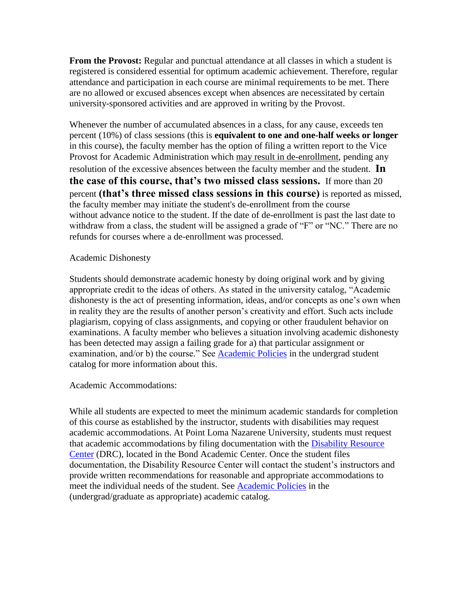**From the Provost:** Regular and punctual attendance at all classes in which a student is registered is considered essential for optimum academic achievement. Therefore, regular attendance and participation in each course are minimal requirements to be met. There are no allowed or excused absences except when absences are necessitated by certain university-sponsored activities and are approved in writing by the Provost.

Whenever the number of accumulated absences in a class, for any cause, exceeds ten percent (10%) of class sessions (this is **equivalent to one and one-half weeks or longer**  in this course), the faculty member has the option of filing a written report to the Vice Provost for Academic Administration which may result in de-enrollment, pending any resolution of the excessive absences between the faculty member and the student. **In the case of this course, that's two missed class sessions.** If more than 20 percent **(that's three missed class sessions in this course)** is reported as missed, the faculty member may initiate the student's de-enrollment from the course without advance notice to the student. If the date of de-enrollment is past the last date to withdraw from a class, the student will be assigned a grade of "F" or "NC." There are no refunds for courses where a de-enrollment was processed.

#### Academic Dishonesty

Students should demonstrate academic honesty by doing original work and by giving appropriate credit to the ideas of others. As stated in the university catalog, "Academic dishonesty is the act of presenting information, ideas, and/or concepts as one's own when in reality they are the results of another person's creativity and effort. Such acts include plagiarism, copying of class assignments, and copying or other fraudulent behavior on examinations. A faculty member who believes a situation involving academic dishonesty has been detected may assign a failing grade for a) that particular assignment or examination, and/or b) the course." See [Academic Policies](http://www.pointloma.edu/experience/academics/catalogs/undergraduate-catalog/point-loma-education/academic-policies) in the undergrad student catalog for more information about this.

#### Academic Accommodations:

While all students are expected to meet the minimum academic standards for completion of this course as established by the instructor, students with disabilities may request academic accommodations. At Point Loma Nazarene University, students must request that academic accommodations by filing documentation with the [Disability Resource](http://www.pointloma.edu/experience/offices/administrative-offices/academic-advising-office/disability-resource-center)  [Center](http://www.pointloma.edu/experience/offices/administrative-offices/academic-advising-office/disability-resource-center) (DRC), located in the Bond Academic Center. Once the student files documentation, the Disability Resource Center will contact the student's instructors and provide written recommendations for reasonable and appropriate accommodations to meet the individual needs of the student. See [Academic Policies](http://www.pointloma.edu/experience/academics/catalogs/undergraduate-catalog/point-loma-education/academic-policies) in the (undergrad/graduate as appropriate) academic catalog.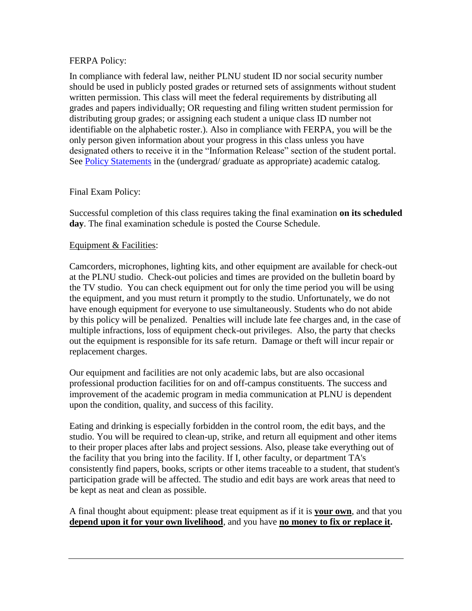### FERPA Policy:

In compliance with federal law, neither PLNU student ID nor social security number should be used in publicly posted grades or returned sets of assignments without student written permission. This class will meet the federal requirements by distributing all grades and papers individually; OR requesting and filing written student permission for distributing group grades; or assigning each student a unique class ID number not identifiable on the alphabetic roster.). Also in compliance with FERPA, you will be the only person given information about your progress in this class unless you have designated others to receive it in the "Information Release" section of the student portal. See [Policy Statements](http://www.pointloma.edu/experience/academics/catalogs/undergraduate-catalog/policy-statements) in the (undergrad/ graduate as appropriate) academic catalog.

### Final Exam Policy:

Successful completion of this class requires taking the final examination **on its scheduled day**. The final examination schedule is posted the Course Schedule.

#### Equipment & Facilities:

Camcorders, microphones, lighting kits, and other equipment are available for check-out at the PLNU studio. Check-out policies and times are provided on the bulletin board by the TV studio. You can check equipment out for only the time period you will be using the equipment, and you must return it promptly to the studio. Unfortunately, we do not have enough equipment for everyone to use simultaneously. Students who do not abide by this policy will be penalized. Penalties will include late fee charges and, in the case of multiple infractions, loss of equipment check-out privileges. Also, the party that checks out the equipment is responsible for its safe return. Damage or theft will incur repair or replacement charges.

Our equipment and facilities are not only academic labs, but are also occasional professional production facilities for on and off-campus constituents. The success and improvement of the academic program in media communication at PLNU is dependent upon the condition, quality, and success of this facility.

Eating and drinking is especially forbidden in the control room, the edit bays, and the studio. You will be required to clean-up, strike, and return all equipment and other items to their proper places after labs and project sessions. Also, please take everything out of the facility that you bring into the facility. If I, other faculty, or department TA's consistently find papers, books, scripts or other items traceable to a student, that student's participation grade will be affected. The studio and edit bays are work areas that need to be kept as neat and clean as possible.

A final thought about equipment: please treat equipment as if it is **your own**, and that you **depend upon it for your own livelihood**, and you have **no money to fix or replace it.**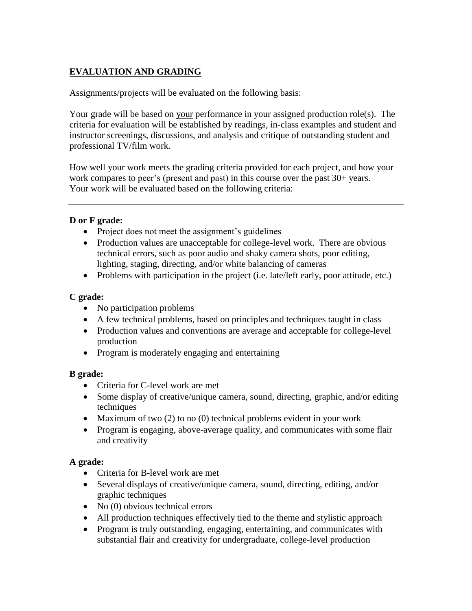# **EVALUATION AND GRADING**

Assignments/projects will be evaluated on the following basis:

Your grade will be based on your performance in your assigned production role(s). The criteria for evaluation will be established by readings, in-class examples and student and instructor screenings, discussions, and analysis and critique of outstanding student and professional TV/film work.

How well your work meets the grading criteria provided for each project, and how your work compares to peer's (present and past) in this course over the past 30+ years. Your work will be evaluated based on the following criteria:

# **D or F grade:**

- Project does not meet the assignment's guidelines
- Production values are unacceptable for college-level work. There are obvious technical errors, such as poor audio and shaky camera shots, poor editing, lighting, staging, directing, and/or white balancing of cameras
- Problems with participation in the project (i.e. late/left early, poor attitude, etc.)

# **C grade:**

- No participation problems
- A few technical problems, based on principles and techniques taught in class
- Production values and conventions are average and acceptable for college-level production
- Program is moderately engaging and entertaining

# **B grade:**

- Criteria for C-level work are met
- Some display of creative/unique camera, sound, directing, graphic, and/or editing techniques
- Maximum of two  $(2)$  to no  $(0)$  technical problems evident in your work
- Program is engaging, above-average quality, and communicates with some flair and creativity

# **A grade:**

- Criteria for B-level work are met
- Several displays of creative/unique camera, sound, directing, editing, and/or graphic techniques
- No (0) obvious technical errors
- All production techniques effectively tied to the theme and stylistic approach
- Program is truly outstanding, engaging, entertaining, and communicates with substantial flair and creativity for undergraduate, college-level production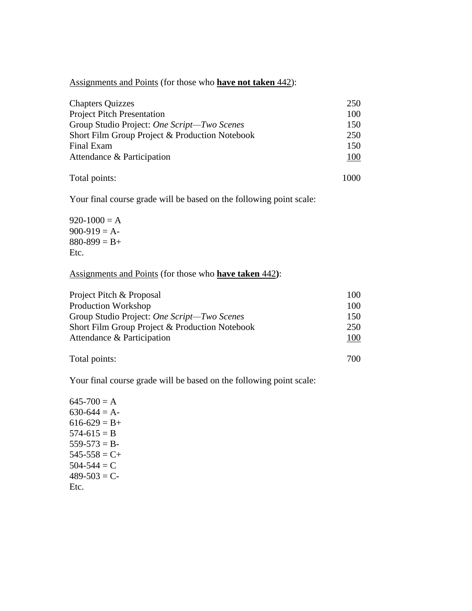Assignments and Points (for those who **have not taken** 442):

| <b>Chapters Quizzes</b>                        | 250  |  |
|------------------------------------------------|------|--|
| <b>Project Pitch Presentation</b>              | 100  |  |
| Group Studio Project: One Script-Two Scenes    | 150  |  |
| Short Film Group Project & Production Notebook | 250  |  |
| Final Exam                                     | 150  |  |
| Attendance & Participation                     | 100  |  |
| Total points:                                  | 1000 |  |

Your final course grade will be based on the following point scale:

 $920-1000 = A$  $900-919 = A$  $880-899 = B+$ Etc.

### Assignments and Points (for those who **have taken** 442**)**:

| Project Pitch & Proposal                       | 100 |
|------------------------------------------------|-----|
| Production Workshop                            | 100 |
| Group Studio Project: One Script-Two Scenes    | 150 |
| Short Film Group Project & Production Notebook | 250 |
| Attendance & Participation                     | 100 |
|                                                |     |

Total points: 700

Your final course grade will be based on the following point scale:

 $645-700 = A$  $630-644 = A 616-629 = B+$  $574-615 = B$  $559-573 = B$  $545-558 = C+$  $504-544 = C$  $489-503 = C$ Etc.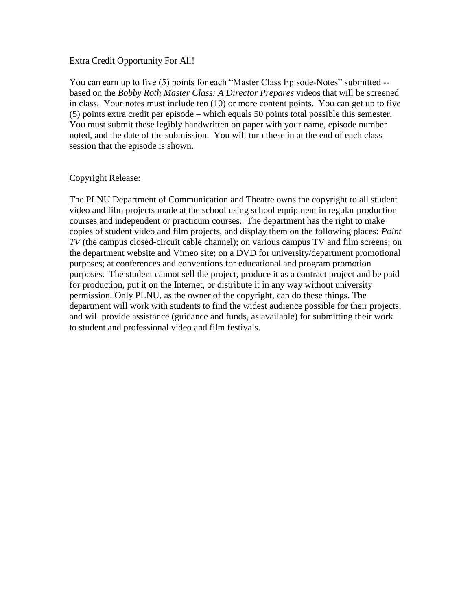#### Extra Credit Opportunity For All!

You can earn up to five (5) points for each "Master Class Episode-Notes" submitted - based on the *Bobby Roth Master Class: A Director Prepares* videos that will be screened in class. Your notes must include ten (10) or more content points. You can get up to five (5) points extra credit per episode – which equals 50 points total possible this semester. You must submit these legibly handwritten on paper with your name, episode number noted, and the date of the submission. You will turn these in at the end of each class session that the episode is shown.

#### Copyright Release:

The PLNU Department of Communication and Theatre owns the copyright to all student video and film projects made at the school using school equipment in regular production courses and independent or practicum courses. The department has the right to make copies of student video and film projects, and display them on the following places: *Point TV* (the campus closed-circuit cable channel); on various campus TV and film screens; on the department website and Vimeo site; on a DVD for university/department promotional purposes; at conferences and conventions for educational and program promotion purposes. The student cannot sell the project, produce it as a contract project and be paid for production, put it on the Internet, or distribute it in any way without university permission. Only PLNU, as the owner of the copyright, can do these things. The department will work with students to find the widest audience possible for their projects, and will provide assistance (guidance and funds, as available) for submitting their work to student and professional video and film festivals.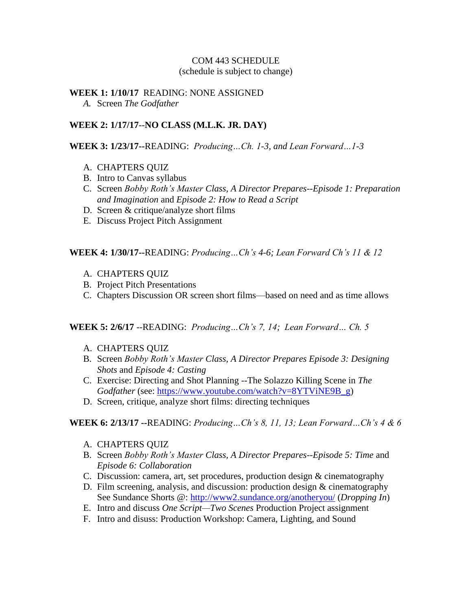# COM 443 SCHEDULE

(schedule is subject to change)

#### **WEEK 1: 1/10/17** READING: NONE ASSIGNED *A.* Screen *The Godfather*

### **WEEK 2: 1/17/17**--**NO CLASS (M.L.K. JR. DAY)**

#### **WEEK 3: 1/23/17--**READING: *Producing…Ch. 1-3, and Lean Forward…1-3*

- A. CHAPTERS QUIZ
- B. Intro to Canvas syllabus
- C. Screen *Bobby Roth's Master Class, A Director Prepares--Episode 1: Preparation and Imagination* and *Episode 2: How to Read a Script*
- D. Screen & critique/analyze short films
- E. Discuss Project Pitch Assignment

**WEEK 4: 1/30/17--**READING: *Producing…Ch's 4-6; Lean Forward Ch's 11 & 12* 

- A. CHAPTERS QUIZ
- B. Project Pitch Presentations
- C. Chapters Discussion OR screen short films—based on need and as time allows

#### **WEEK 5: 2/6/17** --READING: *Producing…Ch's 7, 14; Lean Forward… Ch. 5*

- A. CHAPTERS QUIZ
- B. Screen *Bobby Roth's Master Class, A Director Prepares Episode 3: Designing Shots* and *Episode 4: Casting*
- C. Exercise: Directing and Shot Planning --The Solazzo Killing Scene in *The Godfather* (see: [https://www.youtube.com/watch?v=8YTViNE9B\\_g\)](https://www.youtube.com/watch?v=8YTViNE9B_g)
- D. Screen, critique, analyze short films: directing techniques

#### **WEEK 6: 2/13/17 --**READING: *Producing…Ch's 8, 11, 13; Lean Forward…Ch's 4 & 6*

- A. CHAPTERS QUIZ
- B. Screen *Bobby Roth's Master Class, A Director Prepares--Episode 5: Time* and *Episode 6: Collaboration*
- C. Discussion: camera, art, set procedures, production design & cinematography
- D. Film screening, analysis, and discussion: production design & cinematography See Sundance Shorts @:<http://www2.sundance.org/anotheryou/> (*Dropping In*)
- E. Intro and discuss *One Script—Two Scenes* Production Project assignment
- F. Intro and disuss: Production Workshop: Camera, Lighting, and Sound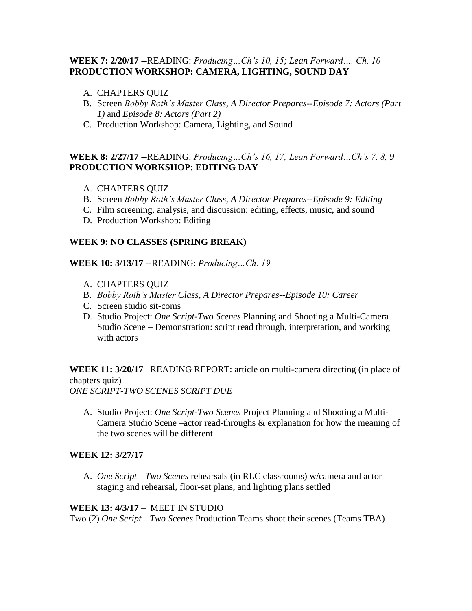# **WEEK 7: 2/20/17** --READING: *Producing…Ch's 10, 15; Lean Forward…. Ch. 10* **PRODUCTION WORKSHOP: CAMERA, LIGHTING, SOUND DAY**

- A. CHAPTERS QUIZ
- B. Screen *Bobby Roth's Master Class, A Director Prepares--Episode 7: Actors (Part 1)* and *Episode 8: Actors (Part 2)*
- C. Production Workshop: Camera, Lighting, and Sound

# **WEEK 8: 2/27/17 --**READING: *Producing…Ch's 16, 17; Lean Forward…Ch's 7, 8, 9* **PRODUCTION WORKSHOP: EDITING DAY**

- A. CHAPTERS QUIZ
- B. Screen *Bobby Roth's Master Class, A Director Prepares--Episode 9: Editing*
- C. Film screening, analysis, and discussion: editing, effects, music, and sound
- D. Production Workshop: Editing

### **WEEK 9: NO CLASSES (SPRING BREAK)**

**WEEK 10: 3/13/17** --READING: *Producing…Ch. 19*

- A. CHAPTERS QUIZ
- B. *Bobby Roth's Master Class, A Director Prepares--Episode 10: Career*
- C. Screen studio sit-coms
- D. Studio Project: *One Script-Two Scenes* Planning and Shooting a Multi-Camera Studio Scene – Demonstration: script read through, interpretation, and working with actors

**WEEK 11: 3/20/17** –READING REPORT: article on multi-camera directing (in place of chapters quiz) *ONE SCRIPT-TWO SCENES SCRIPT DUE* 

A. Studio Project: *One Script-Two Scenes* Project Planning and Shooting a Multi-Camera Studio Scene –actor read-throughs & explanation for how the meaning of the two scenes will be different

#### **WEEK 12: 3/27/17**

A. *One Script—Two Scenes* rehearsals (in RLC classrooms) w/camera and actor staging and rehearsal, floor-set plans, and lighting plans settled

#### **WEEK 13: 4/3/17** – MEET IN STUDIO

Two (2) *One Script—Two Scenes* Production Teams shoot their scenes (Teams TBA)